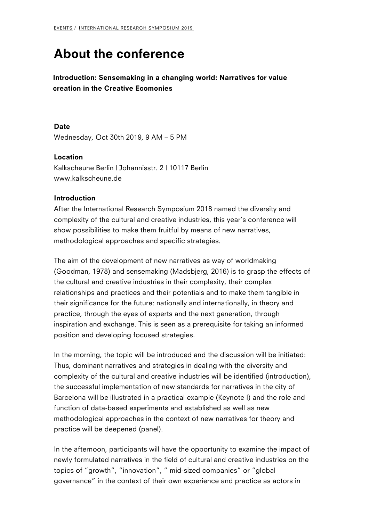## [Ab](/events/)[out the confe](/events/international-research-symposium-2019/)rence

Introduction: Sensemaking in a changing world: Narratives for  $v$ creation in the Creative Ecomonies

Date Wednesday, Oct 30th 2019, 9 AM 5 PM

Location Kalkscheune Berlin | Johannisstr. 2 | 10117 Berlin www.kalkscheune.de

## Introduction

[After the Inte](http://www.kalkscheune.de/)rnational Research Symposium 2018 named the div complexity of the cultural and creative industries, this year  $s$  co show possibilities to make them fruitful by means of new narrati methodological approaches and specific strategies.

The aim of the development of new narratives as way of worldma (Goodman, 1978) and sensemaking (Madsbjerg, 2016) is to grasp the cultural and creative industries in their complexity, their complex relationships and practices and their potentials and to make the their significance for the future: nationally and internationally, practice, through the eyes of experts and the next generation, t inspiration and exchange. This is seen as a prerequisite for tak position and developing focused strategies.

In the morning, the topic will be introduced and the discussion Thus, dominant narratives and strategies in dealing with the div complexity of the cultural and creative industries will be identif the successful implementation of new standards for narratives in Barcelona will be illustrated in a practical example (Keynote I) function of data-based experiments and established as well as n methodological approaches in the context of new narratives for practice will be deepened (panel).

In the afternoon, participants will have the opportunity to exami newly formulated narratives in the field of cultural and creative topics of growth, innovation, mid-sized companies or glob governance in the context of their own experience and practice